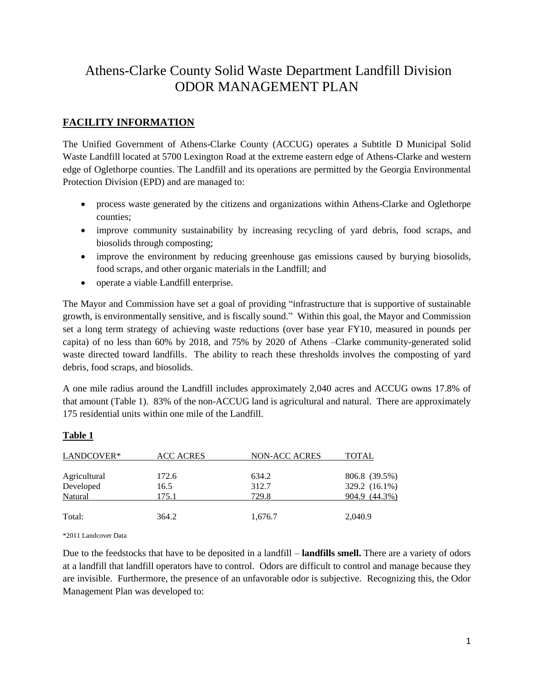# Athens-Clarke County Solid Waste Department Landfill Division ODOR MANAGEMENT PLAN

# **FACILITY INFORMATION**

The Unified Government of Athens-Clarke County (ACCUG) operates a Subtitle D Municipal Solid Waste Landfill located at 5700 Lexington Road at the extreme eastern edge of Athens-Clarke and western edge of Oglethorpe counties. The Landfill and its operations are permitted by the Georgia Environmental Protection Division (EPD) and are managed to:

- process waste generated by the citizens and organizations within Athens-Clarke and Oglethorpe counties;
- improve community sustainability by increasing recycling of yard debris, food scraps, and biosolids through composting;
- improve the environment by reducing greenhouse gas emissions caused by burying biosolids, food scraps, and other organic materials in the Landfill; and
- operate a viable Landfill enterprise.

The Mayor and Commission have set a goal of providing "infrastructure that is supportive of sustainable growth, is environmentally sensitive, and is fiscally sound." Within this goal, the Mayor and Commission set a long term strategy of achieving waste reductions (over base year FY10, measured in pounds per capita) of no less than 60% by 2018, and 75% by 2020 of Athens –Clarke community-generated solid waste directed toward landfills. The ability to reach these thresholds involves the composting of yard debris, food scraps, and biosolids.

A one mile radius around the Landfill includes approximately 2,040 acres and ACCUG owns 17.8% of that amount (Table 1). 83% of the non-ACCUG land is agricultural and natural. There are approximately 175 residential units within one mile of the Landfill.

# **Table 1**

| LANDCOVER*   | <b>ACC ACRES</b> | NON-ACC ACRES | <b>TOTAL</b>  |
|--------------|------------------|---------------|---------------|
| Agricultural | 172.6            | 634.2         | 806.8 (39.5%) |
| Developed    | 16.5             | 312.7         | 329.2 (16.1%) |
| Natural      | 175.1            | 729.8         | 904.9 (44.3%) |
| Total:       | 364.2            | 1,676.7       | 2,040.9       |

\*2011 Landcover Data

Due to the feedstocks that have to be deposited in a landfill – **landfills smell.** There are a variety of odors at a landfill that landfill operators have to control. Odors are difficult to control and manage because they are invisible. Furthermore, the presence of an unfavorable odor is subjective. Recognizing this, the Odor Management Plan was developed to: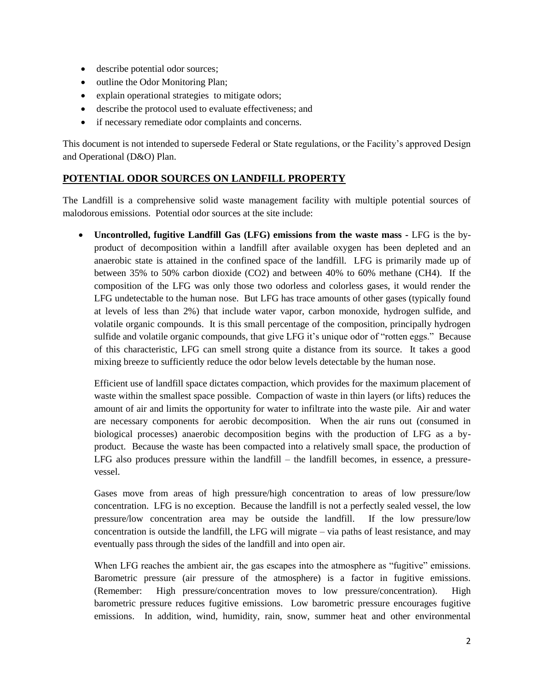- describe potential odor sources;
- outline the Odor Monitoring Plan;
- explain operational strategies to mitigate odors;
- describe the protocol used to evaluate effectiveness; and
- if necessary remediate odor complaints and concerns.

This document is not intended to supersede Federal or State regulations, or the Facility's approved Design and Operational (D&O) Plan.

# **POTENTIAL ODOR SOURCES ON LANDFILL PROPERTY**

The Landfill is a comprehensive solid waste management facility with multiple potential sources of malodorous emissions. Potential odor sources at the site include:

 **Uncontrolled, fugitive Landfill Gas (LFG) emissions from the waste mass -** LFG is the byproduct of decomposition within a landfill after available oxygen has been depleted and an anaerobic state is attained in the confined space of the landfill. LFG is primarily made up of between 35% to 50% carbon dioxide (CO2) and between 40% to 60% methane (CH4). If the composition of the LFG was only those two odorless and colorless gases, it would render the LFG undetectable to the human nose. But LFG has trace amounts of other gases (typically found at levels of less than 2%) that include water vapor, carbon monoxide, hydrogen sulfide, and volatile organic compounds. It is this small percentage of the composition, principally hydrogen sulfide and volatile organic compounds, that give LFG it's unique odor of "rotten eggs." Because of this characteristic, LFG can smell strong quite a distance from its source. It takes a good mixing breeze to sufficiently reduce the odor below levels detectable by the human nose.

Efficient use of landfill space dictates compaction, which provides for the maximum placement of waste within the smallest space possible. Compaction of waste in thin layers (or lifts) reduces the amount of air and limits the opportunity for water to infiltrate into the waste pile. Air and water are necessary components for aerobic decomposition. When the air runs out (consumed in biological processes) anaerobic decomposition begins with the production of LFG as a byproduct. Because the waste has been compacted into a relatively small space, the production of LFG also produces pressure within the landfill – the landfill becomes, in essence, a pressurevessel.

Gases move from areas of high pressure/high concentration to areas of low pressure/low concentration. LFG is no exception. Because the landfill is not a perfectly sealed vessel, the low pressure/low concentration area may be outside the landfill. If the low pressure/low concentration is outside the landfill, the LFG will migrate – via paths of least resistance, and may eventually pass through the sides of the landfill and into open air.

When LFG reaches the ambient air, the gas escapes into the atmosphere as "fugitive" emissions. Barometric pressure (air pressure of the atmosphere) is a factor in fugitive emissions. (Remember: High pressure/concentration moves to low pressure/concentration). High barometric pressure reduces fugitive emissions. Low barometric pressure encourages fugitive emissions. In addition, wind, humidity, rain, snow, summer heat and other environmental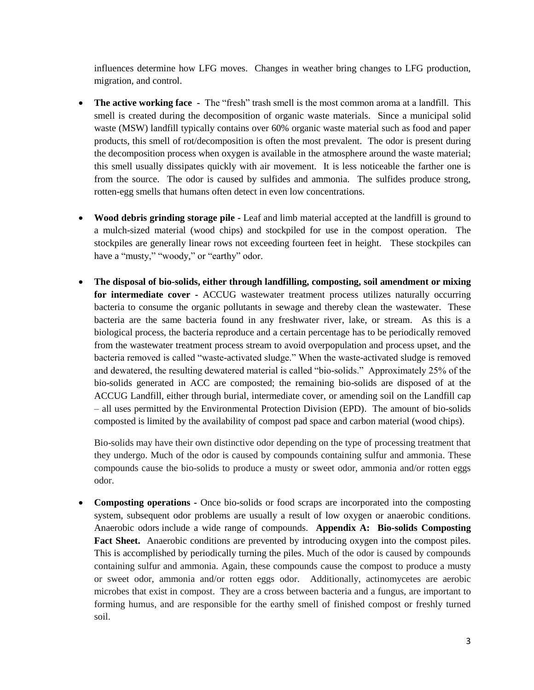influences determine how LFG moves. Changes in weather bring changes to LFG production, migration, and control.

- **The active working face -** The "fresh" trash smell is the most common aroma at a landfill. This smell is created during the decomposition of organic waste materials. Since a municipal solid waste (MSW) landfill typically contains over 60% organic waste material such as food and paper products, this smell of rot/decomposition is often the most prevalent. The odor is present during the decomposition process when oxygen is available in the atmosphere around the waste material; this smell usually dissipates quickly with air movement. It is less noticeable the farther one is from the source. The odor is caused by sulfides and ammonia. The sulfides produce strong, rotten-egg smells that humans often detect in even low concentrations.
- **Wood debris grinding storage pile -** Leaf and limb material accepted at the landfill is ground to a mulch-sized material (wood chips) and stockpiled for use in the compost operation. The stockpiles are generally linear rows not exceeding fourteen feet in height. These stockpiles can have a "musty," "woody," or "earthy" odor.
- **The disposal of bio-solids, either through landfilling, composting, soil amendment or mixing for intermediate cover -** ACCUG wastewater treatment process utilizes naturally occurring bacteria to consume the organic pollutants in sewage and thereby clean the wastewater. These bacteria are the same bacteria found in any freshwater river, lake, or stream. As this is a biological process, the bacteria reproduce and a certain percentage has to be periodically removed from the wastewater treatment process stream to avoid overpopulation and process upset, and the bacteria removed is called "waste-activated sludge." When the waste-activated sludge is removed and dewatered, the resulting dewatered material is called "bio-solids." Approximately 25% of the bio-solids generated in ACC are composted; the remaining bio-solids are disposed of at the ACCUG Landfill, either through burial, intermediate cover, or amending soil on the Landfill cap – all uses permitted by the Environmental Protection Division (EPD). The amount of bio-solids composted is limited by the availability of compost pad space and carbon material (wood chips).

Bio-solids may have their own distinctive odor depending on the type of processing treatment that they undergo. Much of the odor is caused by compounds containing sulfur and ammonia. These compounds cause the bio-solids to produce a musty or sweet odor, ammonia and/or rotten eggs odor.

 **Composting operations -** Once bio-solids or food scraps are incorporated into the composting system, subsequent odor problems are usually a result of low oxygen or anaerobic conditions. Anaerobic odors include a wide range of compounds. **Appendix A: Bio-solids Composting Fact Sheet.** Anaerobic conditions are prevented by introducing oxygen into the compost piles. This is accomplished by periodically turning the piles. Much of the odor is caused by compounds containing sulfur and ammonia. Again, these compounds cause the compost to produce a musty or sweet odor, ammonia and/or rotten eggs odor. Additionally, actinomycetes are aerobic microbes that exist in compost. They are a cross between bacteria and a fungus, are important to forming humus, and are responsible for the earthy smell of finished compost or freshly turned soil.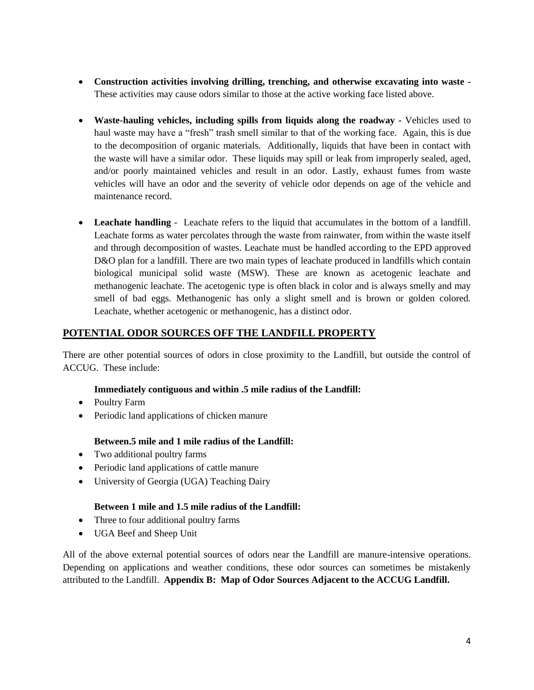- **Construction activities involving drilling, trenching, and otherwise excavating into waste**  These activities may cause odors similar to those at the active working face listed above.
- **Waste-hauling vehicles, including spills from liquids along the roadway -** Vehicles used to haul waste may have a "fresh" trash smell similar to that of the working face. Again, this is due to the decomposition of organic materials. Additionally, liquids that have been in contact with the waste will have a similar odor. These liquids may spill or leak from improperly sealed, aged, and/or poorly maintained vehicles and result in an odor. Lastly, exhaust fumes from waste vehicles will have an odor and the severity of vehicle odor depends on age of the vehicle and maintenance record.
- **Leachate handling** Leachate refers to the liquid that accumulates in the bottom of a landfill. Leachate forms as water percolates through the waste from rainwater, from within the waste itself and through decomposition of wastes. Leachate must be handled according to the EPD approved D&O plan for a landfill. There are two main types of leachate produced in landfills which contain biological municipal solid waste (MSW). These are known as acetogenic leachate and methanogenic leachate. The acetogenic type is often black in color and is always smelly and may smell of bad eggs. Methanogenic has only a slight smell and is brown or golden colored. Leachate, whether acetogenic or methanogenic, has a distinct odor.

# **POTENTIAL ODOR SOURCES OFF THE LANDFILL PROPERTY**

There are other potential sources of odors in close proximity to the Landfill, but outside the control of ACCUG. These include:

# **Immediately contiguous and within .5 mile radius of the Landfill:**

- Poultry Farm
- Periodic land applications of chicken manure

# **Between.5 mile and 1 mile radius of the Landfill:**

- Two additional poultry farms
- Periodic land applications of cattle manure
- University of Georgia (UGA) Teaching Dairy

### **Between 1 mile and 1.5 mile radius of the Landfill:**

- Three to four additional poultry farms
- UGA Beef and Sheep Unit

All of the above external potential sources of odors near the Landfill are manure-intensive operations. Depending on applications and weather conditions, these odor sources can sometimes be mistakenly attributed to the Landfill. **Appendix B: Map of Odor Sources Adjacent to the ACCUG Landfill.**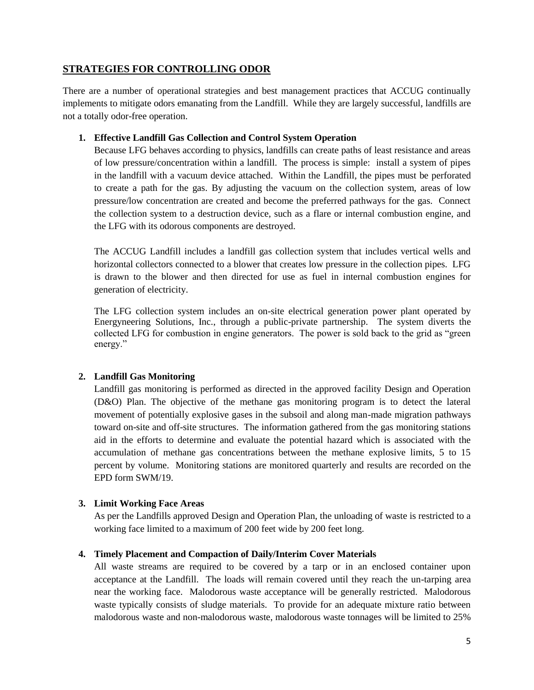# **STRATEGIES FOR CONTROLLING ODOR**

There are a number of operational strategies and best management practices that ACCUG continually implements to mitigate odors emanating from the Landfill. While they are largely successful, landfills are not a totally odor-free operation.

## **1. Effective Landfill Gas Collection and Control System Operation**

Because LFG behaves according to physics, landfills can create paths of least resistance and areas of low pressure/concentration within a landfill. The process is simple: install a system of pipes in the landfill with a vacuum device attached. Within the Landfill, the pipes must be perforated to create a path for the gas. By adjusting the vacuum on the collection system, areas of low pressure/low concentration are created and become the preferred pathways for the gas. Connect the collection system to a destruction device, such as a flare or internal combustion engine, and the LFG with its odorous components are destroyed.

The ACCUG Landfill includes a landfill gas collection system that includes vertical wells and horizontal collectors connected to a blower that creates low pressure in the collection pipes. LFG is drawn to the blower and then directed for use as fuel in internal combustion engines for generation of electricity.

The LFG collection system includes an on-site electrical generation power plant operated by Energyneering Solutions, Inc., through a public-private partnership. The system diverts the collected LFG for combustion in engine generators. The power is sold back to the grid as "green energy."

# **2. Landfill Gas Monitoring**

Landfill gas monitoring is performed as directed in the approved facility Design and Operation (D&O) Plan. The objective of the methane gas monitoring program is to detect the lateral movement of potentially explosive gases in the subsoil and along man-made migration pathways toward on-site and off-site structures. The information gathered from the gas monitoring stations aid in the efforts to determine and evaluate the potential hazard which is associated with the accumulation of methane gas concentrations between the methane explosive limits, 5 to 15 percent by volume. Monitoring stations are monitored quarterly and results are recorded on the EPD form SWM/19.

### **3. Limit Working Face Areas**

As per the Landfills approved Design and Operation Plan, the unloading of waste is restricted to a working face limited to a maximum of 200 feet wide by 200 feet long.

### **4. Timely Placement and Compaction of Daily/Interim Cover Materials**

All waste streams are required to be covered by a tarp or in an enclosed container upon acceptance at the Landfill. The loads will remain covered until they reach the un-tarping area near the working face. Malodorous waste acceptance will be generally restricted. Malodorous waste typically consists of sludge materials. To provide for an adequate mixture ratio between malodorous waste and non-malodorous waste, malodorous waste tonnages will be limited to 25%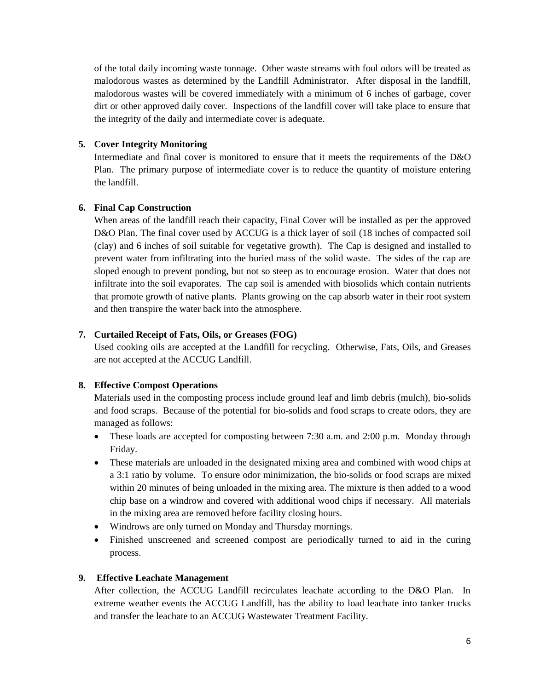of the total daily incoming waste tonnage. Other waste streams with foul odors will be treated as malodorous wastes as determined by the Landfill Administrator. After disposal in the landfill, malodorous wastes will be covered immediately with a minimum of 6 inches of garbage, cover dirt or other approved daily cover. Inspections of the landfill cover will take place to ensure that the integrity of the daily and intermediate cover is adequate.

# **5. Cover Integrity Monitoring**

Intermediate and final cover is monitored to ensure that it meets the requirements of the D&O Plan. The primary purpose of intermediate cover is to reduce the quantity of moisture entering the landfill.

## **6. Final Cap Construction**

When areas of the landfill reach their capacity, Final Cover will be installed as per the approved D&O Plan. The final cover used by ACCUG is a thick layer of soil (18 inches of compacted soil (clay) and 6 inches of soil suitable for vegetative growth). The Cap is designed and installed to prevent water from infiltrating into the buried mass of the solid waste. The sides of the cap are sloped enough to prevent ponding, but not so steep as to encourage erosion. Water that does not infiltrate into the soil evaporates. The cap soil is amended with biosolids which contain nutrients that promote growth of native plants. Plants growing on the cap absorb water in their root system and then transpire the water back into the atmosphere.

## **7. Curtailed Receipt of Fats, Oils, or Greases (FOG)**

Used cooking oils are accepted at the Landfill for recycling. Otherwise, Fats, Oils, and Greases are not accepted at the ACCUG Landfill.

### **8. Effective Compost Operations**

Materials used in the composting process include ground leaf and limb debris (mulch), bio-solids and food scraps. Because of the potential for bio-solids and food scraps to create odors, they are managed as follows:

- These loads are accepted for composting between 7:30 a.m. and 2:00 p.m. Monday through Friday.
- These materials are unloaded in the designated mixing area and combined with wood chips at a 3:1 ratio by volume. To ensure odor minimization, the bio-solids or food scraps are mixed within 20 minutes of being unloaded in the mixing area. The mixture is then added to a wood chip base on a windrow and covered with additional wood chips if necessary. All materials in the mixing area are removed before facility closing hours.
- Windrows are only turned on Monday and Thursday mornings.
- Finished unscreened and screened compost are periodically turned to aid in the curing process.

### **9. Effective Leachate Management**

After collection, the ACCUG Landfill recirculates leachate according to the D&O Plan. In extreme weather events the ACCUG Landfill, has the ability to load leachate into tanker trucks and transfer the leachate to an ACCUG Wastewater Treatment Facility.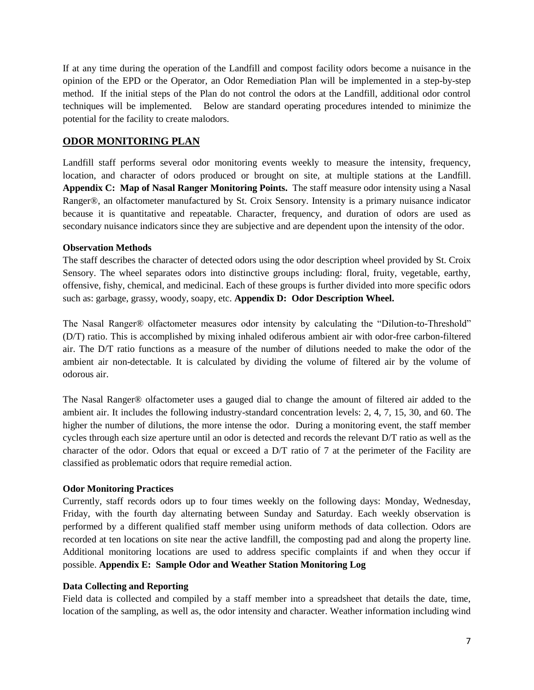If at any time during the operation of the Landfill and compost facility odors become a nuisance in the opinion of the EPD or the Operator, an Odor Remediation Plan will be implemented in a step-by-step method. If the initial steps of the Plan do not control the odors at the Landfill, additional odor control techniques will be implemented. Below are standard operating procedures intended to minimize the potential for the facility to create malodors.

# **ODOR MONITORING PLAN**

Landfill staff performs several odor monitoring events weekly to measure the intensity, frequency, location, and character of odors produced or brought on site, at multiple stations at the Landfill. **Appendix C: Map of Nasal Ranger Monitoring Points.** The staff measure odor intensity using a Nasal Ranger®, an olfactometer manufactured by St. Croix Sensory. Intensity is a primary nuisance indicator because it is quantitative and repeatable. Character, frequency, and duration of odors are used as secondary nuisance indicators since they are subjective and are dependent upon the intensity of the odor.

#### **Observation Methods**

The staff describes the character of detected odors using the odor description wheel provided by St. Croix Sensory. The wheel separates odors into distinctive groups including: floral, fruity, vegetable, earthy, offensive, fishy, chemical, and medicinal. Each of these groups is further divided into more specific odors such as: garbage, grassy, woody, soapy, etc. **Appendix D: Odor Description Wheel.**

The Nasal Ranger® olfactometer measures odor intensity by calculating the "Dilution-to-Threshold" (D/T) ratio. This is accomplished by mixing inhaled odiferous ambient air with odor-free carbon-filtered air. The D/T ratio functions as a measure of the number of dilutions needed to make the odor of the ambient air non-detectable. It is calculated by dividing the volume of filtered air by the volume of odorous air.

The Nasal Ranger® olfactometer uses a gauged dial to change the amount of filtered air added to the ambient air. It includes the following industry-standard concentration levels: 2, 4, 7, 15, 30, and 60. The higher the number of dilutions, the more intense the odor. During a monitoring event, the staff member cycles through each size aperture until an odor is detected and records the relevant D/T ratio as well as the character of the odor. Odors that equal or exceed a D/T ratio of 7 at the perimeter of the Facility are classified as problematic odors that require remedial action.

### **Odor Monitoring Practices**

Currently, staff records odors up to four times weekly on the following days: Monday, Wednesday, Friday, with the fourth day alternating between Sunday and Saturday. Each weekly observation is performed by a different qualified staff member using uniform methods of data collection. Odors are recorded at ten locations on site near the active landfill, the composting pad and along the property line. Additional monitoring locations are used to address specific complaints if and when they occur if possible. **Appendix E: Sample Odor and Weather Station Monitoring Log**

### **Data Collecting and Reporting**

Field data is collected and compiled by a staff member into a spreadsheet that details the date, time, location of the sampling, as well as, the odor intensity and character. Weather information including wind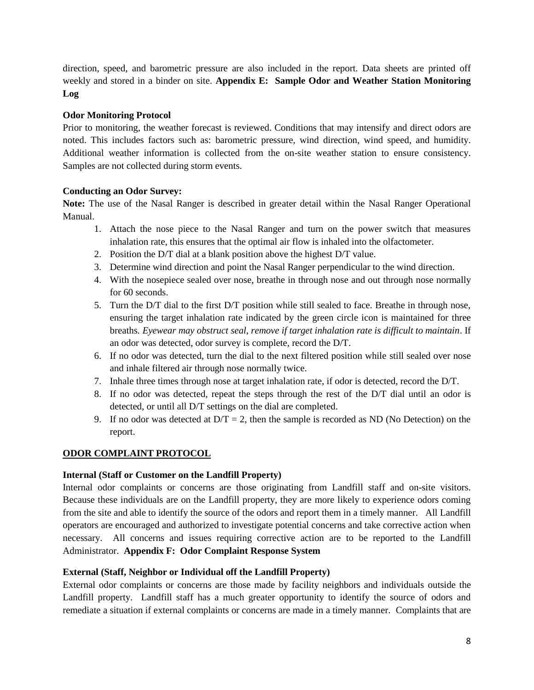direction, speed, and barometric pressure are also included in the report. Data sheets are printed off weekly and stored in a binder on site. **Appendix E: Sample Odor and Weather Station Monitoring Log**

# **Odor Monitoring Protocol**

Prior to monitoring, the weather forecast is reviewed. Conditions that may intensify and direct odors are noted. This includes factors such as: barometric pressure, wind direction, wind speed, and humidity. Additional weather information is collected from the on-site weather station to ensure consistency. Samples are not collected during storm events.

## **Conducting an Odor Survey:**

**Note:** The use of the Nasal Ranger is described in greater detail within the Nasal Ranger Operational Manual.

- 1. Attach the nose piece to the Nasal Ranger and turn on the power switch that measures inhalation rate, this ensures that the optimal air flow is inhaled into the olfactometer.
- 2. Position the D/T dial at a blank position above the highest D/T value.
- 3. Determine wind direction and point the Nasal Ranger perpendicular to the wind direction.
- 4. With the nosepiece sealed over nose, breathe in through nose and out through nose normally for 60 seconds.
- 5. Turn the D/T dial to the first D/T position while still sealed to face. Breathe in through nose, ensuring the target inhalation rate indicated by the green circle icon is maintained for three breaths*. Eyewear may obstruct seal, remove if target inhalation rate is difficult to maintain*. If an odor was detected, odor survey is complete, record the D/T.
- 6. If no odor was detected, turn the dial to the next filtered position while still sealed over nose and inhale filtered air through nose normally twice.
- 7. Inhale three times through nose at target inhalation rate, if odor is detected, record the D/T.
- 8. If no odor was detected, repeat the steps through the rest of the D/T dial until an odor is detected, or until all D/T settings on the dial are completed.
- 9. If no odor was detected at  $D/T = 2$ , then the sample is recorded as ND (No Detection) on the report.

### **ODOR COMPLAINT PROTOCOL**

### **Internal (Staff or Customer on the Landfill Property)**

Internal odor complaints or concerns are those originating from Landfill staff and on-site visitors. Because these individuals are on the Landfill property, they are more likely to experience odors coming from the site and able to identify the source of the odors and report them in a timely manner. All Landfill operators are encouraged and authorized to investigate potential concerns and take corrective action when necessary. All concerns and issues requiring corrective action are to be reported to the Landfill Administrator. **Appendix F: Odor Complaint Response System**

### **External (Staff, Neighbor or Individual off the Landfill Property)**

External odor complaints or concerns are those made by facility neighbors and individuals outside the Landfill property. Landfill staff has a much greater opportunity to identify the source of odors and remediate a situation if external complaints or concerns are made in a timely manner. Complaints that are